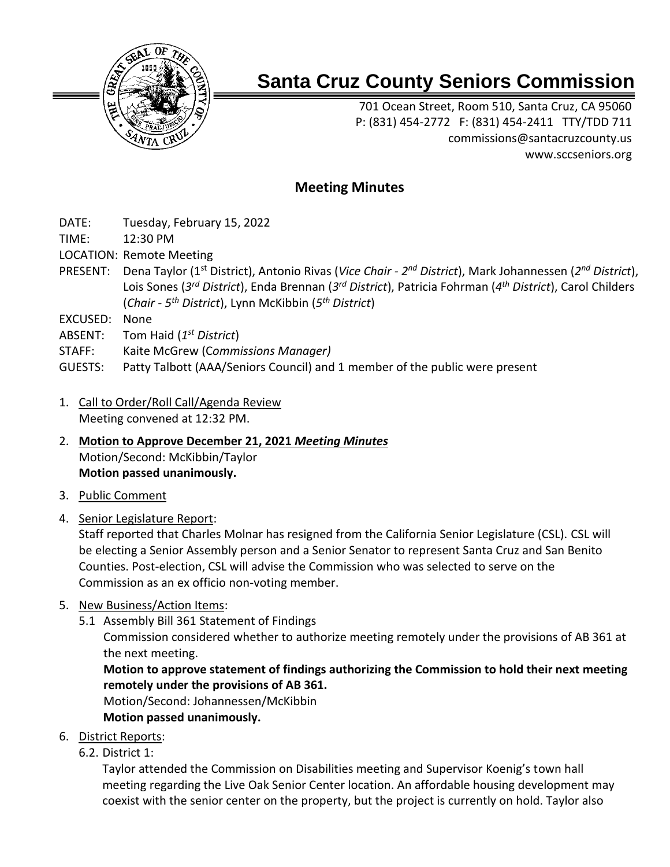

# **Santa Cruz County Seniors Commission**

701 Ocean Street, Room 510, Santa Cruz, CA 95060 P: (831) 454-2772 F: (831) 454-2411 TTY/TDD 711 [commissions@santacruzcounty.us](mailto:commissions@santacruzcounty.us) www.sccseniors.org

# **Meeting Minutes**

- DATE: Tuesday, February 15, 2022
- TIME: 12:30 PM
- LOCATION: Remote Meeting
- PRESENT: Dena Taylor (1st District), Antonio Rivas (*Vice Chair - 2 nd District*), Mark Johannessen (*2 nd District*), Lois Sones (*3 rd District*), Enda Brennan (*3 rd District*), Patricia Fohrman (*4 th District*), Carol Childers (*Chair - 5 th District*), Lynn McKibbin (*5 th District*)
- EXCUSED: None
- ABSENT: Tom Haid (*1 st District*)
- STAFF: Kaite McGrew (C*ommissions Manager)*
- GUESTS: Patty Talbott (AAA/Seniors Council) and 1 member of the public were present
- 1. Call to Order/Roll Call/Agenda Review Meeting convened at 12:32 PM.
- 2. **Motion to Approve December 21, 2021** *Meeting Minutes* Motion/Second: McKibbin/Taylor **Motion passed unanimously.**
- 3. Public Comment
- 4. Senior Legislature Report:

Staff reported that Charles Molnar has resigned from the California Senior Legislature (CSL). CSL will be electing a Senior Assembly person and a Senior Senator to represent Santa Cruz and San Benito Counties. Post-election, CSL will advise the Commission who was selected to serve on the Commission as an ex officio non-voting member.

- 5. New Business/Action Items:
	- 5.1 Assembly Bill 361 Statement of Findings

Commission considered whether to authorize meeting remotely under the provisions of AB 361 at the next meeting.

**Motion to approve statement of findings authorizing the Commission to hold their next meeting remotely under the provisions of AB 361.**

Motion/Second: Johannessen/McKibbin

**Motion passed unanimously.**

6. District Reports:

6.2. District 1:

Taylor attended the Commission on Disabilities meeting and Supervisor Koenig's town hall meeting regarding the Live Oak Senior Center location. An affordable housing development may coexist with the senior center on the property, but the project is currently on hold. Taylor also